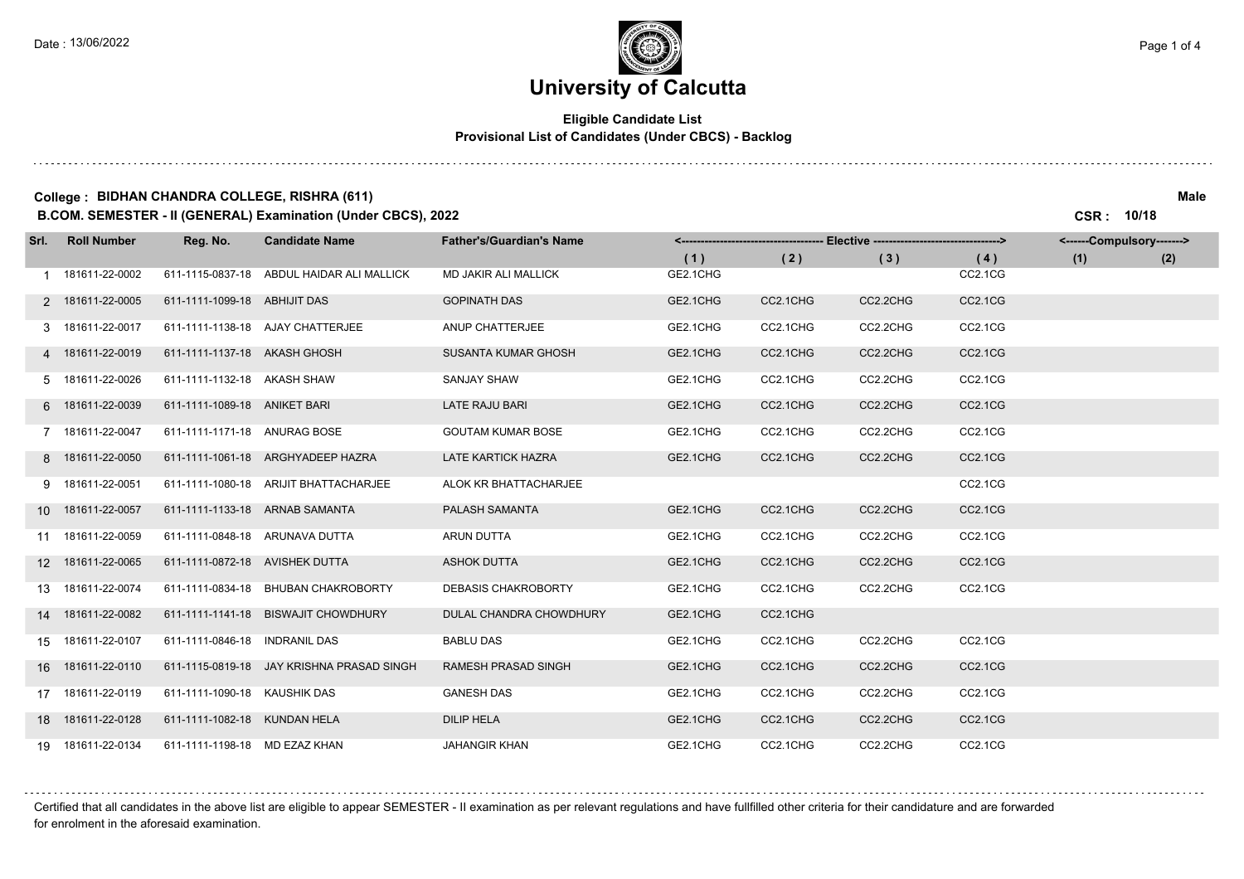and a state

# **University of Calcutta**

## **Eligible Candidate List Provisional List of Candidates (Under CBCS) - Backlog**

### **College : BIDHAN CHANDRA COLLEGE, RISHRA (611) Male B.COM. SEMESTER - II (GENERAL) Examination (Under CBCS), 2022 CSR : 10/18**

| Srl. I | <b>Roll Number</b> | Reg. No.                       | <b>Candidate Name</b>                     | <b>Father's/Guardian's Name</b> | <------------------------------------ | --- Elective ----------------------------------> |          |         | <------Compulsory-------> |     |
|--------|--------------------|--------------------------------|-------------------------------------------|---------------------------------|---------------------------------------|--------------------------------------------------|----------|---------|---------------------------|-----|
|        |                    |                                |                                           |                                 | (1)                                   | (2)                                              | (3)      | (4)     | (1)                       | (2) |
|        | 1 181611-22-0002   |                                | 611-1115-0837-18 ABDUL HAIDAR ALI MALLICK | <b>MD JAKIR ALI MALLICK</b>     | GE2.1CHG                              |                                                  |          | CC2.1CG |                           |     |
|        | 2 181611-22-0005   | 611-1111-1099-18 ABHIJIT DAS   |                                           | <b>GOPINATH DAS</b>             | GE2.1CHG                              | CC2.1CHG                                         | CC2.2CHG | CC2.1CG |                           |     |
|        | 3 181611-22-0017   |                                | 611-1111-1138-18 AJAY CHATTERJEE          | ANUP CHATTERJEE                 | GE2.1CHG                              | CC2.1CHG                                         | CC2.2CHG | CC2.1CG |                           |     |
|        | 4 181611-22-0019   | 611-1111-1137-18 AKASH GHOSH   |                                           | SUSANTA KUMAR GHOSH             | GE2.1CHG                              | CC2.1CHG                                         | CC2.2CHG | CC2.1CG |                           |     |
|        | 5 181611-22-0026   | 611-1111-1132-18 AKASH SHAW    |                                           | <b>SANJAY SHAW</b>              | GE2.1CHG                              | CC2.1CHG                                         | CC2.2CHG | CC2.1CG |                           |     |
|        | 6 181611-22-0039   | 611-1111-1089-18 ANIKET BARI   |                                           | LATE RAJU BARI                  | GE2.1CHG                              | CC2.1CHG                                         | CC2.2CHG | CC2.1CG |                           |     |
|        | 7 181611-22-0047   | 611-1111-1171-18 ANURAG BOSE   |                                           | <b>GOUTAM KUMAR BOSE</b>        | GE2.1CHG                              | CC2.1CHG                                         | CC2.2CHG | CC2.1CG |                           |     |
|        | 8 181611-22-0050   |                                | 611-1111-1061-18 ARGHYADEEP HAZRA         | <b>LATE KARTICK HAZRA</b>       | GE2.1CHG                              | CC2.1CHG                                         | CC2.2CHG | CC2.1CG |                           |     |
|        | 9 181611-22-0051   |                                | 611-1111-1080-18 ARIJIT BHATTACHARJEE     | ALOK KR BHATTACHARJEE           |                                       |                                                  |          | CC2.1CG |                           |     |
|        | 10 181611-22-0057  | 611-1111-1133-18 ARNAB SAMANTA |                                           | PALASH SAMANTA                  | GE2.1CHG                              | CC2.1CHG                                         | CC2.2CHG | CC2.1CG |                           |     |
|        | 11 181611-22-0059  | 611-1111-0848-18 ARUNAVA DUTTA |                                           | ARUN DUTTA                      | GE2.1CHG                              | CC2.1CHG                                         | CC2.2CHG | CC2.1CG |                           |     |
|        | 12 181611-22-0065  | 611-1111-0872-18 AVISHEK DUTTA |                                           | <b>ASHOK DUTTA</b>              | GE2.1CHG                              | CC2.1CHG                                         | CC2.2CHG | CC2.1CG |                           |     |
|        | 13 181611-22-0074  |                                | 611-1111-0834-18 BHUBAN CHAKROBORTY       | <b>DEBASIS CHAKROBORTY</b>      | GE2.1CHG                              | CC2.1CHG                                         | CC2.2CHG | CC2.1CG |                           |     |
|        | 14 181611-22-0082  |                                | 611-1111-1141-18 BISWAJIT CHOWDHURY       | DULAL CHANDRA CHOWDHURY         | GE2.1CHG                              | CC2.1CHG                                         |          |         |                           |     |
|        | 15 181611-22-0107  | 611-1111-0846-18 INDRANIL DAS  |                                           | <b>BABLU DAS</b>                | GE2.1CHG                              | CC2.1CHG                                         | CC2.2CHG | CC2.1CG |                           |     |
|        | 16 181611-22-0110  |                                | 611-1115-0819-18 JAY KRISHNA PRASAD SINGH | <b>RAMESH PRASAD SINGH</b>      | GE2.1CHG                              | CC2.1CHG                                         | CC2.2CHG | CC2.1CG |                           |     |
|        | 17 181611-22-0119  | 611-1111-1090-18 KAUSHIK DAS   |                                           | <b>GANESH DAS</b>               | GE2.1CHG                              | CC2.1CHG                                         | CC2.2CHG | CC2.1CG |                           |     |
|        | 18 181611-22-0128  | 611-1111-1082-18 KUNDAN HELA   |                                           | <b>DILIP HELA</b>               | GE2.1CHG                              | CC2.1CHG                                         | CC2.2CHG | CC2.1CG |                           |     |
|        | 19 181611-22-0134  | 611-1111-1198-18 MD EZAZ KHAN  |                                           | <b>JAHANGIR KHAN</b>            | GE2.1CHG                              | CC2.1CHG                                         | CC2.2CHG | CC2.1CG |                           |     |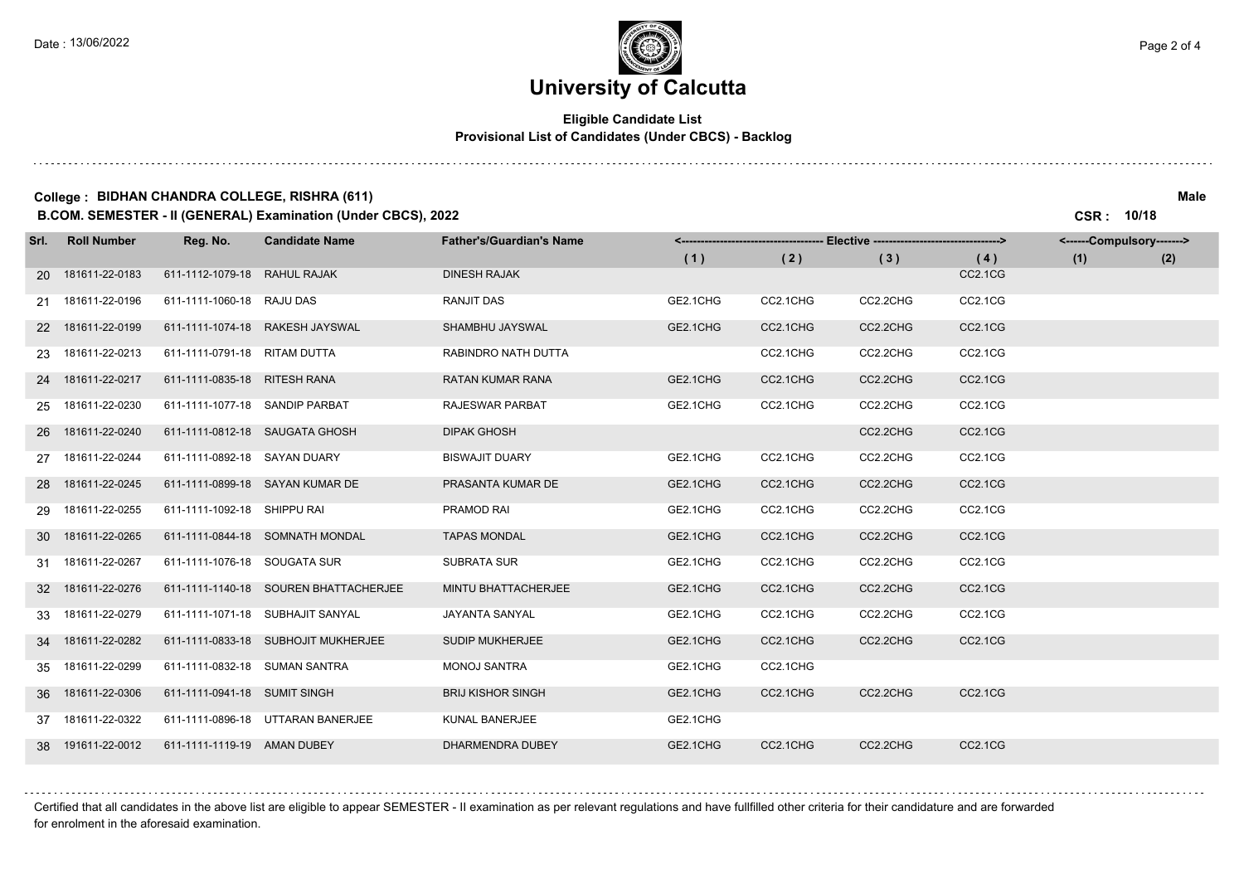. . . . . .

# **University of Calcutta**

## **Eligible Candidate List Provisional List of Candidates (Under CBCS) - Backlog**

### **College : BIDHAN CHANDRA COLLEGE, RISHRA (611) Male B.COM. SEMESTER - II (GENERAL) Examination (Under CBCS), 2022 CSR : 10/18**

| Srl. Roll Number  | Reg. No.                       | <b>Candidate Name</b>                 | <b>Father's/Guardian's Name</b> |          | - Elective ---------------------------------> |          |                | <------Compulsory-------> |     |
|-------------------|--------------------------------|---------------------------------------|---------------------------------|----------|-----------------------------------------------|----------|----------------|---------------------------|-----|
|                   |                                |                                       |                                 | (1)      | (2)                                           | (3)      | (4)            | (1)                       | (2) |
| 20 181611-22-0183 | 611-1112-1079-18 RAHUL RAJAK   |                                       | <b>DINESH RAJAK</b>             |          |                                               |          | <b>CC2.1CG</b> |                           |     |
| 21 181611-22-0196 | 611-1111-1060-18 RAJU DAS      |                                       | RANJIT DAS                      | GE2.1CHG | CC2.1CHG                                      | CC2.2CHG | CC2.1CG        |                           |     |
| 22 181611-22-0199 |                                | 611-1111-1074-18 RAKESH JAYSWAL       | SHAMBHU JAYSWAL                 | GE2.1CHG | CC2.1CHG                                      | CC2.2CHG | <b>CC2.1CG</b> |                           |     |
| 23 181611-22-0213 | 611-1111-0791-18 RITAM DUTTA   |                                       | RABINDRO NATH DUTTA             |          | CC2.1CHG                                      | CC2.2CHG | CC2.1CG        |                           |     |
| 24 181611-22-0217 | 611-1111-0835-18 RITESH RANA   |                                       | <b>RATAN KUMAR RANA</b>         | GE2.1CHG | CC2.1CHG                                      | CC2.2CHG | CC2.1CG        |                           |     |
| 25 181611-22-0230 | 611-1111-1077-18 SANDIP PARBAT |                                       | RAJESWAR PARBAT                 | GE2.1CHG | CC2.1CHG                                      | CC2.2CHG | CC2.1CG        |                           |     |
| 26 181611-22-0240 | 611-1111-0812-18 SAUGATA GHOSH |                                       | <b>DIPAK GHOSH</b>              |          |                                               | CC2.2CHG | <b>CC2.1CG</b> |                           |     |
| 27 181611-22-0244 | 611-1111-0892-18 SAYAN DUARY   |                                       | <b>BISWAJIT DUARY</b>           | GE2.1CHG | CC2.1CHG                                      | CC2.2CHG | CC2.1CG        |                           |     |
| 28 181611-22-0245 |                                | 611-1111-0899-18 SAYAN KUMAR DE       | PRASANTA KUMAR DE               | GE2.1CHG | CC2.1CHG                                      | CC2.2CHG | <b>CC2.1CG</b> |                           |     |
| 29 181611-22-0255 | 611-1111-1092-18 SHIPPU RAI    |                                       | PRAMOD RAI                      | GE2.1CHG | CC2.1CHG                                      | CC2.2CHG | CC2.1CG        |                           |     |
| 30 181611-22-0265 |                                | 611-1111-0844-18 SOMNATH MONDAL       | <b>TAPAS MONDAL</b>             | GE2.1CHG | CC2.1CHG                                      | CC2.2CHG | <b>CC2.1CG</b> |                           |     |
| 31 181611-22-0267 | 611-1111-1076-18 SOUGATA SUR   |                                       | <b>SUBRATA SUR</b>              | GE2.1CHG | CC2.1CHG                                      | CC2.2CHG | CC2.1CG        |                           |     |
| 32 181611-22-0276 |                                | 611-1111-1140-18 SOUREN BHATTACHERJEE | <b>MINTU BHATTACHERJEE</b>      | GE2.1CHG | CC2.1CHG                                      | CC2.2CHG | CC2.1CG        |                           |     |
| 33 181611-22-0279 |                                | 611-1111-1071-18 SUBHAJIT SANYAL      | JAYANTA SANYAL                  | GE2.1CHG | CC2.1CHG                                      | CC2.2CHG | CC2.1CG        |                           |     |
| 34 181611-22-0282 |                                | 611-1111-0833-18 SUBHOJIT MUKHERJEE   | SUDIP MUKHERJEE                 | GE2.1CHG | CC2.1CHG                                      | CC2.2CHG | CC2.1CG        |                           |     |
| 35 181611-22-0299 | 611-1111-0832-18 SUMAN SANTRA  |                                       | <b>MONOJ SANTRA</b>             | GE2.1CHG | CC2.1CHG                                      |          |                |                           |     |
| 36 181611-22-0306 | 611-1111-0941-18 SUMIT SINGH   |                                       | <b>BRIJ KISHOR SINGH</b>        | GE2.1CHG | CC2.1CHG                                      | CC2.2CHG | <b>CC2.1CG</b> |                           |     |
| 37 181611-22-0322 |                                | 611-1111-0896-18 UTTARAN BANERJEE     | KUNAL BANERJEE                  | GE2.1CHG |                                               |          |                |                           |     |
| 38 191611-22-0012 | 611-1111-1119-19 AMAN DUBEY    |                                       | DHARMENDRA DUBEY                | GE2.1CHG | CC2.1CHG                                      | CC2.2CHG | <b>CC2.1CG</b> |                           |     |

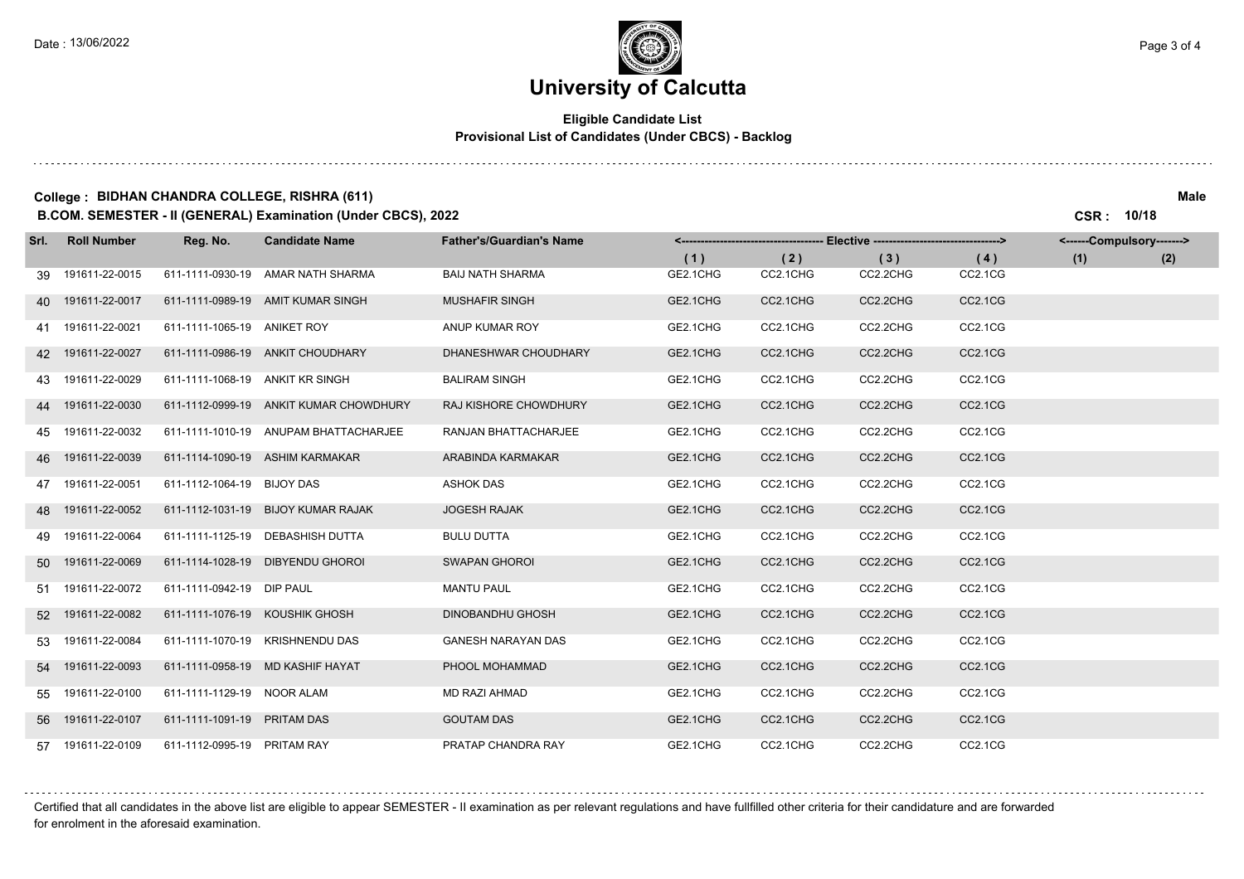and a state

# **University of Calcutta**

## **Eligible Candidate List Provisional List of Candidates (Under CBCS) - Backlog**

### **College : BIDHAN CHANDRA COLLEGE, RISHRA (611) Male B.COM. SEMESTER - II (GENERAL) Examination (Under CBCS), 2022 CSR : 10/18**

| Srl. L | <b>Roll Number</b> | Reg. No.                        | <b>Candidate Name</b>                  | <b>Father's/Guardian's Name</b> | <------------------------------------- | -- Elective ---------------------------------> |          |                                  | <------Compulsory-------> |     |
|--------|--------------------|---------------------------------|----------------------------------------|---------------------------------|----------------------------------------|------------------------------------------------|----------|----------------------------------|---------------------------|-----|
|        |                    |                                 |                                        |                                 | (1)                                    | (2)                                            | (3)      | (4)                              | (1)                       | (2) |
|        | 39 191611-22-0015  |                                 | 611-1111-0930-19 AMAR NATH SHARMA      | <b>BAIJ NATH SHARMA</b>         | GE2.1CHG                               | CC2.1CHG                                       | CC2.2CHG | CC2.1CG                          |                           |     |
|        | 40 191611-22-0017  |                                 | 611-1111-0989-19 AMIT KUMAR SINGH      | <b>MUSHAFIR SINGH</b>           | GE2.1CHG                               | CC2.1CHG                                       | CC2.2CHG | <b>CC2.1CG</b>                   |                           |     |
|        | 41 191611-22-0021  | 611-1111-1065-19 ANIKET ROY     |                                        | ANUP KUMAR ROY                  | GE2.1CHG                               | CC2.1CHG                                       | CC2.2CHG | CC2.1CG                          |                           |     |
|        | 42 191611-22-0027  |                                 | 611-1111-0986-19 ANKIT CHOUDHARY       | DHANESHWAR CHOUDHARY            | GE2.1CHG                               | CC2.1CHG                                       | CC2.2CHG | <b>CC2.1CG</b>                   |                           |     |
|        | 43 191611-22-0029  | 611-1111-1068-19 ANKIT KR SINGH |                                        | <b>BALIRAM SINGH</b>            | GE2.1CHG                               | CC2.1CHG                                       | CC2.2CHG | CC2.1CG                          |                           |     |
|        | 44 191611-22-0030  |                                 | 611-1112-0999-19 ANKIT KUMAR CHOWDHURY | RAJ KISHORE CHOWDHURY           | GE2.1CHG                               | CC2.1CHG                                       | CC2.2CHG | CC2.1CG                          |                           |     |
|        | 45 191611-22-0032  |                                 | 611-1111-1010-19 ANUPAM BHATTACHARJEE  | RANJAN BHATTACHARJEE            | GE2.1CHG                               | CC2.1CHG                                       | CC2.2CHG | CC2.1CG                          |                           |     |
|        | 46 191611-22-0039  |                                 | 611-1114-1090-19 ASHIM KARMAKAR        | ARABINDA KARMAKAR               | GE2.1CHG                               | CC2.1CHG                                       | CC2.2CHG | CC2.1CG                          |                           |     |
|        | 47 191611-22-0051  | 611-1112-1064-19 BIJOY DAS      |                                        | <b>ASHOK DAS</b>                | GE2.1CHG                               | CC2.1CHG                                       | CC2.2CHG | CC2.1CG                          |                           |     |
|        | 48 191611-22-0052  |                                 | 611-1112-1031-19 BIJOY KUMAR RAJAK     | <b>JOGESH RAJAK</b>             | GE2.1CHG                               | CC2.1CHG                                       | CC2.2CHG | CC2.1CG                          |                           |     |
|        | 49 191611-22-0064  |                                 | 611-1111-1125-19 DEBASHISH DUTTA       | <b>BULU DUTTA</b>               | GE2.1CHG                               | CC2.1CHG                                       | CC2.2CHG | CC2.1CG                          |                           |     |
|        | 50 191611-22-0069  |                                 | 611-1114-1028-19 DIBYENDU GHOROI       | <b>SWAPAN GHOROI</b>            | GE2.1CHG                               | CC2.1CHG                                       | CC2.2CHG | <b>CC2.1CG</b>                   |                           |     |
|        | 51 191611-22-0072  | 611-1111-0942-19 DIP PAUL       |                                        | <b>MANTU PAUL</b>               | GE2.1CHG                               | CC2.1CHG                                       | CC2.2CHG | CC2.1CG                          |                           |     |
|        | 52 191611-22-0082  | 611-1111-1076-19 KOUSHIK GHOSH  |                                        | <b>DINOBANDHU GHOSH</b>         | GE2.1CHG                               | CC2.1CHG                                       | CC2.2CHG | CC2.1CG                          |                           |     |
|        | 53 191611-22-0084  |                                 | 611-1111-1070-19 KRISHNENDU DAS        | <b>GANESH NARAYAN DAS</b>       | GE2.1CHG                               | CC2.1CHG                                       | CC2.2CHG | CC2.1CG                          |                           |     |
|        | 54 191611-22-0093  |                                 | 611-1111-0958-19 MD KASHIF HAYAT       | PHOOL MOHAMMAD                  | GE2.1CHG                               | CC2.1CHG                                       | CC2.2CHG | CC <sub>2.1</sub> C <sub>G</sub> |                           |     |
| 55     | 191611-22-0100     | 611-1111-1129-19 NOOR ALAM      |                                        | MD RAZI AHMAD                   | GE2.1CHG                               | CC2.1CHG                                       | CC2.2CHG | CC2.1CG                          |                           |     |
|        | 56 191611-22-0107  | 611-1111-1091-19 PRITAM DAS     |                                        | <b>GOUTAM DAS</b>               | GE2.1CHG                               | CC2.1CHG                                       | CC2.2CHG | <b>CC2.1CG</b>                   |                           |     |
|        | 57 191611-22-0109  | 611-1112-0995-19 PRITAM RAY     |                                        | PRATAP CHANDRA RAY              | GE2.1CHG                               | CC2.1CHG                                       | CC2.2CHG | CC2.1CG                          |                           |     |